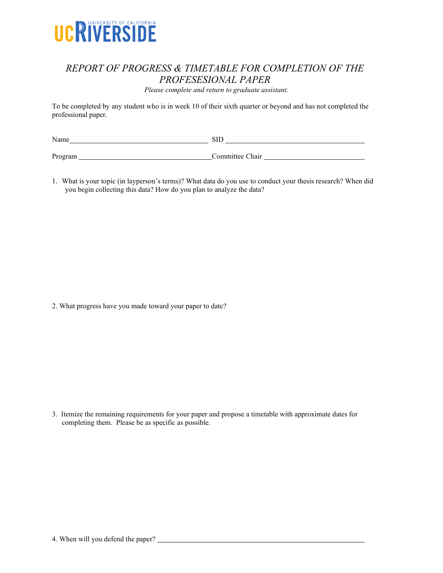

## *REPORT OF PROGRESS & TIMETABLE FOR COMPLETION OF THE PROFESESIONAL PAPER*

*Please complete and return to graduate assistant.*

To be completed by any student who is in week 10 of their sixth quarter or beyond and has not completed the professional paper.

| Name    | αTΓ<br>31.I     |
|---------|-----------------|
|         |                 |
| Program | Committee Chair |

1. What is your topic (in layperson's terms)? What data do you use to conduct your thesis research? When did you begin collecting this data? How do you plan to analyze the data?

2. What progress have you made toward your paper to date?

3. Itemize the remaining requirements for your paper and propose a timetable with approximate dates for completing them. Please be as specific as possible.